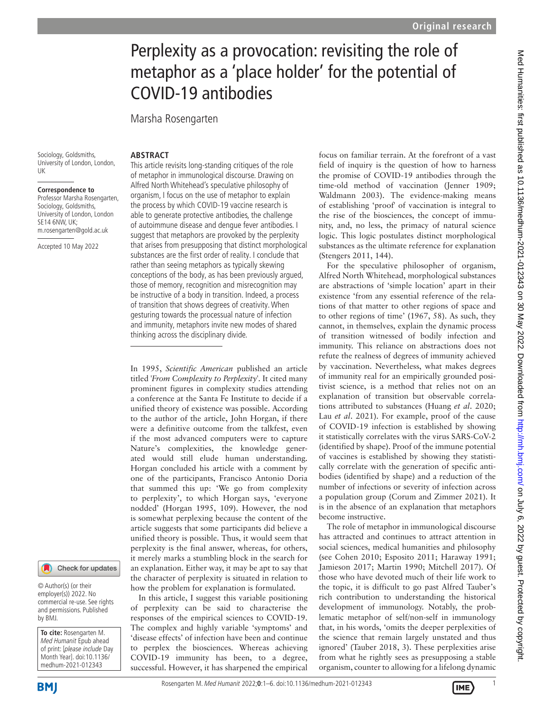# Perplexity as a provocation: revisiting the role of metaphor as a 'place holder' for the potential of COVID-19 antibodies

Marsha Rosengarten

Sociology, Goldsmiths, University of London, London, UK

**Correspondence to** Professor Marsha Rosengarten, Sociology, Goldsmiths, University of London, London SE14 6NW, UK; m.rosengarten@gold.ac.uk

Accepted 10 May 2022

#### Check for updates

© Author(s) (or their employer(s)) 2022. No commercial re-use. See rights and permissions. Published by BMJ.

**To cite:** Rosengarten M. Med Humanit Epub ahead of print: [please include Day Month Year]. doi:10.1136/ medhum-2021-012343

**BMI** 

#### **ARSTRACT**

This article revisits long-standing critiques of the role of metaphor in immunological discourse. Drawing on Alfred North Whitehead's speculative philosophy of organism, I focus on the use of metaphor to explain the process by which COVID-19 vaccine research is able to generate protective antibodies, the challenge of autoimmune disease and dengue fever antibodies. I suggest that metaphors are provoked by the perplexity that arises from presupposing that distinct morphological substances are the first order of reality. I conclude that rather than seeing metaphors as typically skewing conceptions of the body, as has been previously argued, those of memory, recognition and misrecognition may be instructive of a body in transition. Indeed, a process of transition that shows degrees of creativity. When gesturing towards the processual nature of infection and immunity, metaphors invite new modes of shared thinking across the disciplinary divide.

In 1995, *Scientific American* published an article titled *'From Complexity to Perplexity*'. It cited many prominent figures in complexity studies attending a conference at the Santa Fe Institute to decide if a unified theory of existence was possible. According to the author of the article, John Horgan, if there were a definitive outcome from the talkfest, even if the most advanced computers were to capture Nature's complexities, the knowledge generated would still elude human understanding. Horgan concluded his article with a comment by one of the participants, Francisco Antonio Doria that summed this up: 'We go from complexity to perplexity', to which Horgan says, 'everyone nodded' ([Horgan 1995,](#page-4-0) 109). However, the nod is somewhat perplexing because the content of the article suggests that some participants did believe a unified theory is possible. Thus, it would seem that perplexity is the final answer, whereas, for others, it merely marks a stumbling block in the search for an explanation. Either way, it may be apt to say that the character of perplexity is situated in relation to how the problem for explanation is formulated.

In this article, I suggest this variable positioning of perplexity can be said to characterise the responses of the empirical sciences to COVID-19. The complex and highly variable 'symptoms' and 'disease effects' of infection have been and continue to perplex the biosciences. Whereas achieving COVID-19 immunity has been, to a degree, successful. However, it has sharpened the empirical focus on familiar terrain. At the forefront of a vast field of inquiry is the question of how to harness the promise of COVID-19 antibodies through the time-old method of vaccination [\(Jenner 1909](#page-4-1); [Waldmann 2003\)](#page-5-0). The evidence-making means of establishing 'proof' of vaccination is integral to the rise of the biosciences, the concept of immunity, and, no less, the primacy of natural science logic. This logic postulates distinct morphological substances as the ultimate reference for explanation ([Stengers 2011, 144](#page-5-1)).

For the speculative philosopher of organism, Alfred North Whitehead, morphological substances are abstractions of 'simple location' apart in their existence 'from any essential reference of the relations of that matter to other regions of space and to other regions of time' (1967, 58). As such, they cannot, in themselves, explain the dynamic process of transition witnessed of bodily infection and immunity. This reliance on abstractions does not refute the realness of degrees of immunity achieved by vaccination. Nevertheless, what makes degrees of immunity real for an empirically grounded positivist science, is a method that relies not on an explanation of transition but observable correlations attributed to substances [\(Huang](#page-4-2) *et al*. 2020; Lau *et al*[. 2021\)](#page-4-3). For example, proof of the cause of COVID-19 infection is established by showing it statistically correlates with the virus SARS-CoV-2 (identified by shape). Proof of the immune potential of vaccines is established by showing they statistically correlate with the generation of specific antibodies (identified by shape) and a reduction of the number of infections or severity of infection across a population group ([Corum and Zimmer 2021\)](#page-4-4). It is in the absence of an explanation that metaphors become instructive.

The role of metaphor in immunological discourse has attracted and continues to attract attention in social sciences, medical humanities and philosophy (see [Cohen 2010;](#page-4-5) [Esposito 2011](#page-4-6); [Haraway 1991](#page-4-7); [Jamieson 2017](#page-4-8); [Martin 1990](#page-5-2); [Mitchell 2017\)](#page-5-3). Of those who have devoted much of their life work to the topic, it is difficult to go past Alfred Tauber's rich contribution to understanding the historical development of immunology. Notably, the problematic metaphor of self/non-self in immunology that, in his words, 'omits the deeper perplexities of the science that remain largely unstated and thus ignored' ([Tauber 2018, 3\)](#page-5-4). These perplexities arise from what he rightly sees as presupposing a stable organism, counter to allowing for a lifelong dynamic

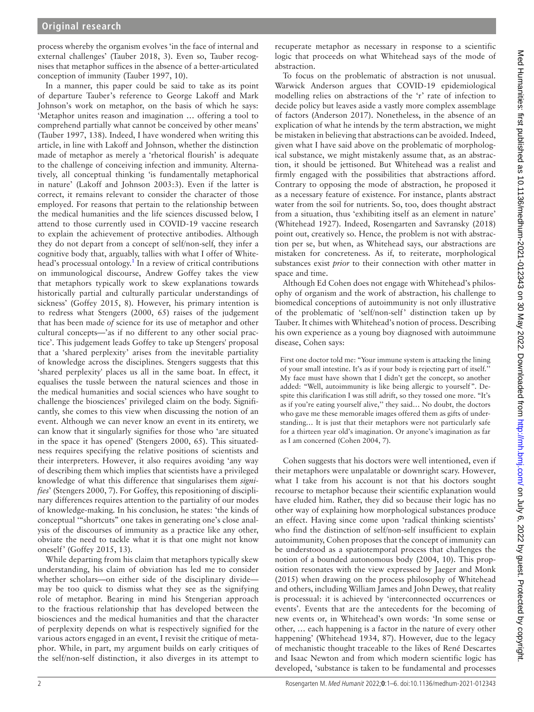process whereby the organism evolves 'in the face of internal and external challenges' ([Tauber 2018, 3](#page-5-4)). Even so, Tauber recognises that metaphor suffices in the absence of a better-articulated conception of immunity [\(Tauber 1997, 10](#page-5-5)).

In a manner, this paper could be said to take as its point of departure Tauber's reference to George Lakoff and Mark Johnson's work on metaphor, on the basis of which he says: 'Metaphor unites reason and imagination … offering a tool to comprehend partially what cannot be conceived by other means' ([Tauber 1997, 138](#page-5-5)). Indeed, I have wondered when writing this article, in line with Lakoff and Johnson, whether the distinction made of metaphor as merely a 'rhetorical flourish' is adequate to the challenge of conceiving infection and immunity. Alternatively, all conceptual thinking 'is fundamentally metaphorical in nature' ([Lakoff and Johnson 2003:](#page-4-9)3). Even if the latter is correct, it remains relevant to consider the character of those employed. For reasons that pertain to the relationship between the medical humanities and the life sciences discussed below, I attend to those currently used in COVID-19 vaccine research to explain the achievement of protective antibodies. Although they do not depart from a concept of self/non-self, they infer a cognitive body that, arguably, tallies with what I offer of White-head's processual ontology.<sup>[1](#page-4-10)</sup> In a review of critical contributions on immunological discourse, Andrew Goffey takes the view that metaphors typically work to skew explanations towards historically partial and culturally particular understandings of sickness' ([Goffey 2015, 8\)](#page-4-11). However, his primary intention is to redress what [Stengers \(2000, 65\)](#page-5-6) raises of the judgement that has been made *of* science for its use of metaphor and other cultural concepts—'as if no different to any other social practice'. This judgement leads Goffey to take up Stengers' proposal that a 'shared perplexity' arises from the inevitable partiality of knowledge across the disciplines. Stengers suggests that this 'shared perplexity' places us all in the same boat. In effect, it equalises the tussle between the natural sciences and those in the medical humanities and social sciences who have sought to challenge the biosciences' privileged claim on the body. Significantly, she comes to this view when discussing the notion of an event. Although we can never know an event in its entirety, we can know that it singularly signifies for those who 'are situated in the space it has opened' ([Stengers 2000, 65](#page-5-6)). This situatedness requires specifying the relative positions of scientists and their interpreters. However, it also requires avoiding 'any way of describing them which implies that scientists have a privileged knowledge of what this difference that singularises them *signifies*' [\(Stengers 2000, 7](#page-5-6)). For Goffey, this repositioning of disciplinary differences requires attention to the partiality of our modes of knowledge-making. In his conclusion, he states: 'the kinds of conceptual '"shortcuts" one takes in generating one's close analysis of the discourses of immunity as a practice like any other, obviate the need to tackle what it is that one might not know oneself' [\(Goffey 2015, 13](#page-4-11)).

While departing from his claim that metaphors typically skew understanding, his claim of obviation has led me to consider whether scholars—on either side of the disciplinary divide may be too quick to dismiss what they see as the signifying role of metaphor. Bearing in mind his Stengerian approach to the fractious relationship that has developed between the biosciences and the medical humanities and that the character of perplexity depends on what is respectively signified for the various actors engaged in an event, I revisit the critique of metaphor. While, in part, my argument builds on early critiques of the self/non-self distinction, it also diverges in its attempt to

recuperate metaphor as necessary in response to a scientific logic that proceeds on what Whitehead says of the mode of abstraction.

To focus on the problematic of abstraction is not unusual. Warwick Anderson argues that COVID-19 epidemiological modelling relies on abstractions of the 'r' rate of infection to decide policy but leaves aside a vastly more complex assemblage of factors ([Anderson 2017](#page-4-12)). Nonetheless, in the absence of an explication of what he intends by the term abstraction, we might be mistaken in believing that abstractions can be avoided. Indeed, given what I have said above on the problematic of morphological substance, we might mistakenly assume that, as an abstraction, it should be jettisoned. But Whitehead was a realist and firmly engaged with the possibilities that abstractions afford. Contrary to opposing the mode of abstraction, he proposed it as a necessary feature of existence. For instance, plants abstract water from the soil for nutrients. So, too, does thought abstract from a situation, thus 'exhibiting itself as an element in nature' ([Whitehead 1927](#page-5-7)). Indeed, [Rosengarten and Savransky \(2018\)](#page-5-8) point out, creatively so. Hence, the problem is not with abstraction per se, but when, as Whitehead says, our abstractions are mistaken for concreteness. As if, to reiterate, morphological substances exist *prior* to their connection with other matter in space and time.

Although Ed Cohen does not engage with Whitehead's philosophy of organism and the work of abstraction, his challenge to biomedical conceptions of autoimmunity is not only illustrative of the problematic of 'self/non-self' distinction taken up by Tauber. It chimes with Whitehead's notion of process. Describing his own experience as a young boy diagnosed with autoimmune disease, Cohen says:

First one doctor told me: "Your immune system is attacking the lining of your small intestine. It's as if your body is rejecting part of itself.'' My face must have shown that I didn't get the concept, so another added: "Well, autoimmunity is like being allergic to yourself". Despite this clarification I was still adrift, so they tossed one more. "It's as if you're eating yourself alive," they said... No doubt, the doctors who gave me these memorable images offered them as gifts of understanding… It is just that their metaphors were not particularly safe for a thirteen year old's imagination. Or anyone's imagination as far as I am concerned [\(Cohen 2004, 7](#page-4-13)).

Cohen suggests that his doctors were well intentioned, even if their metaphors were unpalatable or downright scary. However, what I take from his account is not that his doctors sought recourse to metaphor because their scientific explanation would have eluded him. Rather, they did so because their logic has no other way of explaining how morphological substances produce an effect. Having since come upon 'radical thinking scientists' who find the distinction of self/non-self insufficient to explain autoimmunity, Cohen proposes that the concept of immunity can be understood as a spatiotemporal process that challenges the notion of a bounded autonomous body (2004, 10). This proposition resonates with the view expressed by [Jaeger and Monk](#page-4-14) [\(2015\)](#page-4-14) when drawing on the process philosophy of Whitehead and others, including William James and John Dewey, that reality is processual: it is achieved by 'interconnected occurrences or events'. Events that are the antecedents for the becoming of new events or, in Whitehead's own words: 'In some sense or other, … each happening is a factor in the nature of every other happening' ([Whitehead 1934, 87](#page-5-9)). However, due to the legacy of mechanistic thought traceable to the likes of René Descartes and Isaac Newton and from which modern scientific logic has developed, 'substance is taken to be fundamental and processes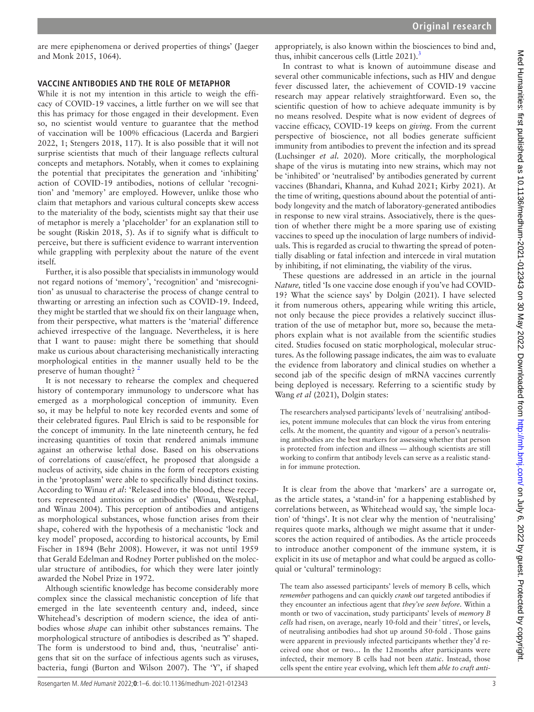are mere epiphenomena or derived properties of things' ([Jaeger](#page-4-14)  [and Monk 2015, 1064\)](#page-4-14).

#### **VACCINE ANTIBODIES AND THE ROLE OF METAPHOR**

While it is not my intention in this article to weigh the efficacy of COVID-19 vaccines, a little further on we will see that this has primacy for those engaged in their development. Even so, no scientist would venture to guarantee that the method of vaccination will be 100% efficacious [\(Lacerda and Bargieri](#page-4-15)  [2022, 1](#page-4-15); [Stengers 2018, 117](#page-5-10)). It is also possible that it will not surprise scientists that much of their language reflects cultural concepts and metaphors. Notably, when it comes to explaining the potential that precipitates the generation and 'inhibiting' action of COVID-19 antibodies, notions of cellular 'recognition' and 'memory' are employed. However, unlike those who claim that metaphors and various cultural concepts skew access to the materiality of the body, scientists might say that their use of metaphor is merely a 'placeholder' for an explanation still to be sought [\(Riskin 2018, 5\)](#page-5-11). As if to signify what is difficult to perceive, but there is sufficient evidence to warrant intervention while grappling with perplexity about the nature of the event itself.

Further, it is also possible that specialists in immunology would not regard notions of 'memory', 'recognition' and 'misrecognition' as unusual to characterise the process of change central to thwarting or arresting an infection such as COVID-19. Indeed, they might be startled that we should fix on their language when, from their perspective, what matters is the 'material' difference achieved irrespective of the language. Nevertheless, it is here that I want to pause: might there be something that should make us curious about characterising mechanistically interacting morphological entities in the manner usually held to be the preserve of human thought?  $2^2$  $2^2$ 

It is not necessary to rehearse the complex and chequered history of contemporary immunology to underscore what has emerged as a morphological conception of immunity. Even so, it may be helpful to note key recorded events and some of their celebrated figures. Paul Elrich is said to be responsible for the concept of immunity. In the late nineteenth century, he fed increasing quantities of toxin that rendered animals immune against an otherwise lethal dose. Based on his observations of correlations of cause/effect, he proposed that alongside a nucleus of activity, side chains in the form of receptors existing in the 'protoplasm' were able to specifically bind distinct toxins. According to Winau *et al*: 'Released into the blood, these receptors represented antitoxins or antibodies' [\(Winau, Westphal,](#page-5-12)  [and Winau 2004\)](#page-5-12). This perception of antibodies and antigens as morphological substances, whose function arises from their shape, cohered with the hypothesis of a mechanistic 'lock and key model' proposed, according to historical accounts, by Emil Fischer in 1894 ([Behr 2008\)](#page-4-17). However, it was not until 1959 that Gerald Edelman and Rodney Porter published on the molecular structure of antibodies, for which they were later jointly awarded the Nobel Prize in 1972.

Although scientific knowledge has become considerably more complex since the classical mechanistic conception of life that emerged in the late seventeenth century and, indeed, since Whitehead's description of modern science, the idea of antibodies whose *shape* can inhibit other substances remains. The morphological structure of antibodies is described as 'Y' shaped. The form is understood to bind and, thus, 'neutralise' antigens that sit on the surface of infectious agents such as viruses, bacteria, fungi ([Burton and Wilson 2007\)](#page-4-18). The 'Y', if shaped

appropriately, is also known within the biosciences to bind and, thus, inhibit cancerous cells (Little  $2021$ ).<sup>[3](#page-4-20)</sup>

In contrast to what is known of autoimmune disease and several other communicable infections, such as HIV and dengue fever discussed later, the achievement of COVID-19 vaccine research may appear relatively straightforward. Even so, the scientific question of how to achieve adequate immunity is by no means resolved. Despite what is now evident of degrees of vaccine efficacy, COVID-19 keeps on *giving*. From the current perspective of bioscience, not all bodies generate sufficient immunity from antibodies to prevent the infection and its spread ([Luchsinger](#page-5-13) *et al.* 2020). More critically, the morphological shape of the virus is mutating into new strains, which may not be 'inhibited' or 'neutralised' by antibodies generated by current vaccines [\(Bhandari, Khanna, and Kuhad 2021](#page-4-21); [Kirby 2021\)](#page-4-22). At the time of writing, questions abound about the potential of antibody longevity and the match of laboratory-generated antibodies in response to new viral strains. Associatively, there is the question of whether there might be a more sparing use of existing vaccines to speed up the inoculation of large numbers of individuals. This is regarded as crucial to thwarting the spread of potentially disabling or fatal infection and intercede in viral mutation by inhibiting, if not eliminating, the viability of the virus.

These questions are addressed in an article in the journal *Nature,* titled 'Is one vaccine dose enough if you've had COVID-19? What the science says' by [Dolgin \(2021\).](#page-4-23) I have selected it from numerous others, appearing while writing this article, not only because the piece provides a relatively succinct illustration of the use of metaphor but, more so, because the metaphors explain what is not available from the scientific studies cited. Studies focused on static morphological, molecular structures. As the following passage indicates, the aim was to evaluate the evidence from laboratory and clinical studies on whether a second jab of the specific design of mRNA vaccines currently being deployed is necessary. Referring to a scientific study by Wang *et al* (2021), Dolgin states:

The researchers analysed participants' levels of ' neutralising' antibodies, potent immune molecules that can block the virus from entering cells. At the moment, the quantity and vigour of a person's neutralising antibodies are the best markers for assessing whether that person is protected from infection and illness — although scientists are still working to confirm that antibody levels can serve as a realistic standin for immune protection.

It is clear from the above that 'markers' are a surrogate or, as the article states, a 'stand-in' for a happening established by correlations between, as Whitehead would say, 'the simple location' of 'things'. It is not clear why the mention of 'neutralising' requires quote marks, although we might assume that it underscores the action required of antibodies. As the article proceeds to introduce another component of the immune system, it is explicit in its use of metaphor and what could be argued as colloquial or 'cultural' terminology:

The team also assessed participants' levels of memory B cells, which *remember* pathogens and can quickly *crank out* targeted antibodies if they encounter an infectious agent that *they've seen before*. Within a month or two of vaccination, study participants' levels of *memory B cells* had risen, on average, nearly 10-fold and their ' titres', or levels, of neutralising antibodies had shot up around 50-fold . Those gains were apparent in previously infected participants whether they'd received one shot or two… In the 12months after participants were infected, their memory B cells had not been *static*. Instead, those cells spent the entire year evolving, which left them *able to craft anti-*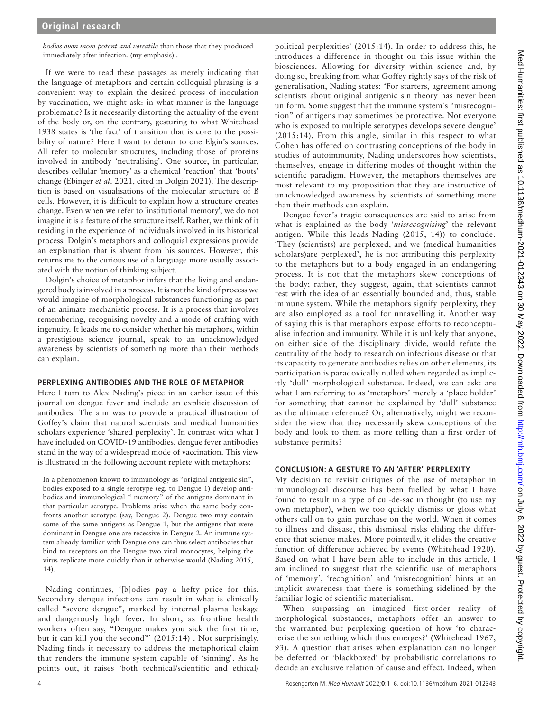*bodies even more potent and versatile* than those that they produced immediately after infection. (my emphasis) .

If we were to read these passages as merely indicating that the language of metaphors and certain colloquial phrasing is a convenient way to explain the desired process of inoculation by vaccination, we might ask: in what manner is the language problematic? Is it necessarily distorting the actuality of the event of the body or, on the contrary, gesturing to what [Whitehead](#page-5-14)  [1938](#page-5-14) states is 'the fact' of transition that is core to the possibility of nature? Here I want to detour to one Elgin's sources. All refer to molecular structures, including those of proteins involved in antibody 'neutralising'. One source, in particular, describes cellular 'memory' as a chemical 'reaction' that 'boots' change [\(Ebinger](#page-4-24) *et al*. 2021, cited in [Dolgin 2021\)](#page-4-23). The description is based on visualisations of the molecular structure of B cells. However, it is difficult to explain how a structure creates change. Even when we refer to 'institutional memory', we do not imagine it is a feature of the structure itself. Rather, we think of it residing in the experience of individuals involved in its historical process. Dolgin's metaphors and colloquial expressions provide an explanation that is absent from his sources. However, this returns me to the curious use of a language more usually associated with the notion of thinking subject.

Dolgin's choice of metaphor infers that the living and endangered body is involved in a process. It is not the kind of process we would imagine of morphological substances functioning as part of an animate mechanistic process. It is a process that involves remembering, recognising novelty and a mode of crafting with ingenuity. It leads me to consider whether his metaphors, within a prestigious science journal, speak to an unacknowledged awareness by scientists of something more than their methods can explain.

#### **PERPLEXING ANTIBODIES AND THE ROLE OF METAPHOR**

Here I turn to Alex Nading's piece in an earlier issue of this journal on dengue fever and include an explicit discussion of antibodies. The aim was to provide a practical illustration of Goffey's claim that natural scientists and medical humanities scholars experience 'shared perplexity'. In contrast with what I have included on COVID-19 antibodies, dengue fever antibodies stand in the way of a widespread mode of vaccination. This view is illustrated in the following account replete with metaphors:

In a phenomenon known to immunology as "original antigenic sin", bodies exposed to a single serotype (eg, to Dengue 1) develop antibodies and immunological " memory" of the antigens dominant in that particular serotype. Problems arise when the same body confronts another serotype (say, Dengue 2). Dengue two may contain some of the same antigens as Dengue 1, but the antigens that were dominant in Dengue one are recessive in Dengue 2. An immune system already familiar with Dengue one can thus select antibodies that bind to receptors on the Dengue two viral monocytes, helping the virus replicate more quickly than it otherwise would ([Nading 2015,](#page-5-15)  [14\)](#page-5-15).

Nading continues, '[b]odies pay a hefty price for this. Secondary dengue infections can result in what is clinically called "severe dengue", marked by internal plasma leakage and dangerously high fever. In short, as frontline health workers often say, "Dengue makes you sick the first time, but it can kill you the second"  $(2015:14)$ . Not surprisingly, Nading finds it necessary to address the metaphorical claim that renders the immune system capable of 'sinning'. As he points out, it raises 'both technical/scientific and ethical/

political perplexities' (2015:14). In order to address this, he introduces a difference in thought on this issue within the biosciences. Allowing for diversity within science and, by doing so, breaking from what Goffey rightly says of the risk of generalisation, Nading states: 'For starters, agreement among scientists about original antigenic sin theory has never been uniform. Some suggest that the immune system's "misrecognition" of antigens may sometimes be protective. Not everyone who is exposed to multiple serotypes develops severe dengue' (2015:14). From this angle, similar in this respect to what Cohen has offered on contrasting conceptions of the body in studies of autoimmunity, Nading underscores how scientists, themselves, engage in differing modes of thought within the scientific paradigm. However, the metaphors themselves are most relevant to my proposition that they are instructive of unacknowledged awareness by scientists of something more than their methods can explain.

Dengue fever's tragic consequences are said to arise from what is explained as the body '*misrecognising*' the relevant antigen. While this leads [Nading \(2015, 14\)\)](#page-5-15) to conclude: 'They (scientists) are perplexed, and we (medical humanities scholars)are perplexed', he is not attributing this perplexity to the metaphors but to a body engaged in an endangering process. It is not that the metaphors skew conceptions of the body; rather, they suggest, again, that scientists cannot rest with the idea of an essentially bounded and, thus, stable immune system. While the metaphors signify perplexity, they are also employed as a tool for unravelling it. Another way of saying this is that metaphors expose efforts to reconceptualise infection and immunity. While it is unlikely that anyone, on either side of the disciplinary divide, would refute the centrality of the body to research on infectious disease or that its capactity to generate antibodies relies on other elements, its participation is paradoxically nulled when regarded as implicitly 'dull' morphological substance. Indeed, we can ask: are what I am referring to as 'metaphors' merely a 'place holder' for something that cannot be explained by 'dull' substance as the ultimate reference? Or, alternatively, might we reconsider the view that they necessarily skew conceptions of the body and look to them as more telling than a first order of substance permits?

### **CONCLUSION: A GESTURE TO AN 'AFTER' PERPLEXITY**

My decision to revisit critiques of the use of metaphor in immunological discourse has been fuelled by what I have found to result in a type of cul-de-sac in thought (to use my own metaphor), when we too quickly dismiss or gloss what others call on to gain purchase on the world. When it comes to illness and disease, this dismissal risks eliding the difference that science makes. More pointedly, it elides the creative function of difference achieved by events [\(Whitehead 1920\)](#page-5-16). Based on what I have been able to include in this article, I am inclined to suggest that the scientific use of metaphors of 'memory', 'recognition' and 'misrecognition' hints at an implicit awareness that there is something sidelined by the familiar logic of scientific materialism.

When surpassing an imagined first-order reality of morphological substances, metaphors offer an answer to the warranted but perplexing question of how 'to characterise the something which thus emerges?' ([Whitehead 1967,](#page-5-17) [93](#page-5-17)). A question that arises when explanation can no longer be deferred or 'blackboxed' by probabilistic correlations to decide an exclusive relation of cause and effect. Indeed, when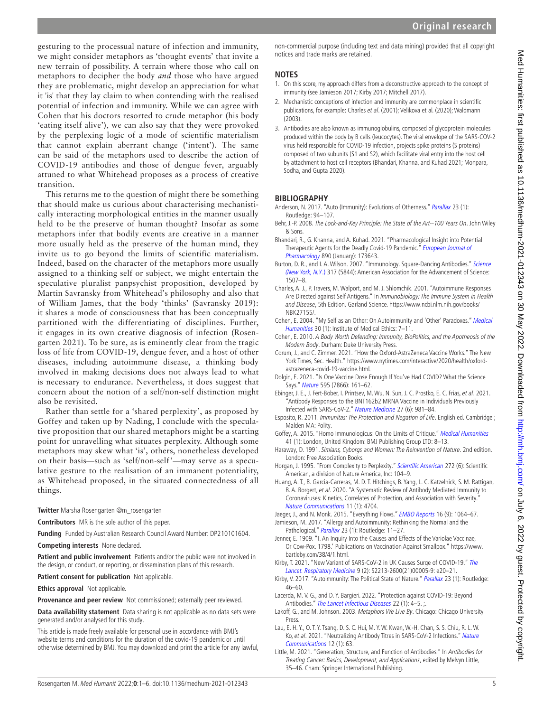gesturing to the processual nature of infection and immunity, we might consider metaphors as 'thought events' that invite a new terrain of possibility. A terrain where those who call on metaphors to decipher the body *and* those who have argued they are problematic, might develop an appreciation for what it 'is' that they lay claim to when contending with the realised potential of infection and immunity. While we can agree with Cohen that his doctors resorted to crude metaphor (his body 'eating itself alive'), we can also say that they were provoked by the perplexing logic of a mode of scientific materialism that cannot explain aberrant change ('intent'). The same can be said of the metaphors used to describe the action of COVID-19 antibodies and those of dengue fever, arguably attuned to what Whitehead proposes as a process of creative transition.

This returns me to the question of might there be something that should make us curious about characterising mechanistically interacting morphological entities in the manner usually held to be the preserve of human thought? Insofar as some metaphors infer that bodily events are creative in a manner more usually held as the preserve of the human mind, they invite us to go beyond the limits of scientific materialism. Indeed, based on the character of the metaphors more usually assigned to a thinking self or subject, we might entertain the speculative pluralist panpsychist proposition, developed by Martin Savransky from Whitehead's philosophy and also that of William James, that the body 'thinks' ([Savransky 2019](#page-5-18)): it shares a mode of consciousness that has been conceptually partitioned with the differentiating of disciplines. Further, it engages in its own creative diagnosis of infection [\(Rosen](#page-5-19)[garten 2021\)](#page-5-19). To be sure, as is eminently clear from the tragic loss of life from COVID-19, dengue fever, and a host of other diseases, including autoimmune disease, a thinking body involved in making decisions does not always lead to what is necessary to endurance. Nevertheless, it does suggest that concern about the notion of a self/non-self distinction might also be revisited.

Rather than settle for a 'shared perplexity', as proposed by Goffey and taken up by Nading, I conclude with the speculative proposition that our shared metaphors might be a starting point for unravelling what situates perplexity. Although some metaphors may skew what 'is', others, nonetheless developed on their basis—such as 'self/non-self'—may serve as a speculative gesture to the realisation of an immanent potentiality, as Whitehead proposed, in the situated connectedness of all things.

**Twitter** Marsha Rosengarten [@m\\_rosengarten](https://twitter.com/m_rosengarten)

**Contributors** MR is the sole author of this paper.

**Funding** Funded by Australian Research Council Award Number: DP210101604. **Competing interests** None declared.

**Patient and public involvement** Patients and/or the public were not involved in the design, or conduct, or reporting, or dissemination plans of this research.

**Patient consent for publication** Not applicable.

**Ethics approval** Not applicable.

**Provenance and peer review** Not commissioned; externally peer reviewed.

**Data availability statement** Data sharing is not applicable as no data sets were generated and/or analysed for this study.

This article is made freely available for personal use in accordance with BMJ's website terms and conditions for the duration of the covid-19 pandemic or until otherwise determined by BMJ. You may download and print the article for any lawful, non-commercial purpose (including text and data mining) provided that all copyright notices and trade marks are retained.

#### **NOTES**

- <span id="page-4-10"></span>1. On this score, my approach differs from a deconstructive approach to the concept of immunity (see [Jamieson 2017;](#page-4-8) [Kirby 2017;](#page-4-25) [Mitchell 2017\)](#page-5-3).
- <span id="page-4-16"></span>2. Mechanistic conceptions of infection and immunity are commonplace in scientific publications, for example: Charles et al[. \(2001\);](#page-4-26) [Velikova et al. \(2020\);](#page-5-20) Waldmann [\(2003\).](#page-5-0)
- <span id="page-4-20"></span>3. Antibodies are also known as immunoglobulins, composed of glycoprotein molecules produced within the body by B cells (leucocytes). The viral envelope of the SARS-COV-2 virus held responsible for COVID-19 infection, projects spike proteins (S proteins) composed of two subunits (S1 and S2), which facilitate viral entry into the host cell by attachment to host cell receptors ([Bhandari, Khanna, and Kuhad 2021;](#page-4-21) [Monpara,](#page-5-21)  [Sodha, and Gupta 2020](#page-5-21)).

## **BIBLIOGRAPHY**

- <span id="page-4-12"></span>Anderson, N. 2017. "Auto (Immunity): Evolutions of Otherness." [Parallax](http://dx.doi.org/10.1080/13534645.2016.1261664) 23 (1): Routledge: 94–107.
- <span id="page-4-17"></span>Behr, J.-P. 2008. The Lock-and-Key Principle: The State of the Art--100 Years On. John Wiley & Sons.
- <span id="page-4-21"></span>Bhandari, R., G. Khanna, and A. Kuhad. 2021. "Pharmacological Insight into Potential Therapeutic Agents for the Deadly Covid-19 Pandemic." European Journal of [Pharmacology](http://dx.doi.org/10.1016/j.ejphar.2020.173643) 890 (January): 173643.
- <span id="page-4-18"></span>Burton, D. R., and I. A. Wilson. 2007. "Immunology. Square-Dancing Antibodies." Science [\(New York, N.Y](http://dx.doi.org/10.1126/science.1148905).) 317 (5844): American Association for the Advancement of Science: 1507–8.
- <span id="page-4-26"></span>Charles, A. J., P. Travers, M. Walport, and M. J. Shlomchik. 2001. "Autoimmune Responses Are Directed against Self Antigens." In [Immunobiology: The Immune System in Health](https://www.ncbi.nlm.nih.gov/books/NBK27155/)  [and Disease](https://www.ncbi.nlm.nih.gov/books/NBK27155/), 5th Edition. Garland Science. [https://www.ncbi.nlm.nih.gov/books/](https://www.ncbi.nlm.nih.gov/books/NBK27155/) [NBK27155/.](https://www.ncbi.nlm.nih.gov/books/NBK27155/)
- <span id="page-4-13"></span>Cohen, E. 2004. "My Self as an Other: On Autoimmunity and 'Other' Paradoxes." [Medical](http://dx.doi.org/10.1136/jmh.2004.000162)  [Humanities](http://dx.doi.org/10.1136/jmh.2004.000162) 30 (1): Institute of Medical Ethics: 7–11.
- <span id="page-4-5"></span>Cohen, E. 2010. [A Body Worth Defending: Immunity, BioPolitics, and the Apotheosis of the](http://dx.doi.org/10.1215/9780822391111)  [Modern Body](http://dx.doi.org/10.1215/9780822391111). Durham: Duke University Press.
- <span id="page-4-4"></span>Corum, J., and C. Zimmer. 2021. "How the Oxford-AstraZeneca Vaccine Works." The New York Times, Sec. Health." [https://www.nytimes.com/interactive/2020/health/oxford](https://www.nytimes.com/interactive/2020/health/oxford-astrazeneca-covid-19-vaccine.html)[astrazeneca-covid-19-vaccine.html.](https://www.nytimes.com/interactive/2020/health/oxford-astrazeneca-covid-19-vaccine.html)
- <span id="page-4-23"></span>Dolgin, E. 2021. "Is One Vaccine Dose Enough If You've Had COVID? What the Science Says." [Nature](http://dx.doi.org/10.1038/d41586-021-01609-4) 595 (7866): 161–62.
- <span id="page-4-24"></span>Ebinger, J. E., J. Fert-Bober, I. Printsev, M. Wu, N. Sun, J. C. Prostko, E. C. Frias, et al. 2021. "Antibody Responses to the BNT162b2 MRNA Vaccine in Individuals Previously Infected with SARS-CoV-2." [Nature Medicine](http://dx.doi.org/10.1038/s41591-021-01325-6) 27 (6): 981–84.
- <span id="page-4-6"></span>Esposito, R. 2011. Immunitas: The Protection and Negation of Life. English ed. Cambridge ; Malden MA: Polity.
- <span id="page-4-11"></span>Goffey, A. 2015. "Homo Immunologicus: On the Limits of Critique." [Medical Humanities](http://dx.doi.org/10.1136/medhum-2014-010661) 41 (1): London, United Kingdom: BMJ Publishing Group LTD: 8–13.
- <span id="page-4-7"></span>Haraway, D. 1991. Simians, Cyborgs and Women: The Reinvention of Nature. 2nd edition. London: Free Association Books.
- <span id="page-4-0"></span>Horgan, J. 1995. "From Complexity to Perplexity." [Scientific American](http://dx.doi.org/10.1038/scientificamerican0695-104) 272 (6): Scientific American, a division of Nature America, Inc: 104–9.
- <span id="page-4-2"></span>Huang, A. T., B. Garcia-Carreras, M. D. T. Hitchings, B. Yang, L. C. Katzelnick, S. M. Rattigan, B. A. Borgert, et al. 2020. "A Systematic Review of Antibody Mediated Immunity to Coronaviruses: Kinetics, Correlates of Protection, and Association with Severity." [Nature Communications](http://dx.doi.org/10.1038/s41467-020-18450-4) 11 (1): 4704.
- <span id="page-4-14"></span>Jaeger, J., and N. Monk. 2015. "Everything Flows." [EMBO Reports](http://dx.doi.org/10.15252/embr.201541088) 16 (9): 1064-67.
- <span id="page-4-8"></span>Jamieson, M. 2017. "Allergy and Autoimmunity: Rethinking the Normal and the Pathological." [Parallax](http://dx.doi.org/10.1080/13534645.2016.1261659) 23 (1): Routledge: 11-27.
- <span id="page-4-1"></span>Jenner, E. 1909. "I. An Inquiry Into the Causes and Effects of the Variolae Vaccinae, Or Cow-Pox. 1798.' Publications on Vaccination Against Smallpox." [https://www.](https://www.bartleby.com/38/4/1.html) [bartleby.com/38/4/1.html.](https://www.bartleby.com/38/4/1.html)

<span id="page-4-22"></span>Kirby, T. 2021. "New Variant of SARS-CoV-2 in UK Causes Surge of COVID-19." The [Lancet. Respiratory Medicine](http://dx.doi.org/10.1016/S2213-2600(21)00005-9) 9 (2): S2213-2600(21)00005-9: e20–21.

- <span id="page-4-25"></span>Kirby, V. 2017. "Autoimmunity: The Political State of Nature." [Parallax](http://dx.doi.org/10.1080/13534645.2016.1261661) 23 (1): Routledge: 46–60.
- <span id="page-4-15"></span>Lacerda, M. V. G., and D. Y. Bargieri. 2022. "Protection against COVID-19: Beyond Antibodies." [The Lancet Infectious Diseases](http://dx.doi.org/10.1016/S1473-3099(21)00561-2) 22 (1): 4-5. ;.
- <span id="page-4-9"></span>Lakoff, G., and M. Johnson. 2003. Metaphors We Live By. Chicago: Chicago University Press.
- <span id="page-4-3"></span>Lau, E. H. Y., O. T. Y. Tsang, D. S. C. Hui, M. Y. W. Kwan, W.-H. Chan, S. S. Chiu, R. L. W. Ko, et al. 2021. "Neutralizing Antibody Titres in SARS-CoV-2 Infections." Nature [Communications](http://dx.doi.org/10.1038/s41467-020-20247-4) 12 (1): 63.
- <span id="page-4-19"></span>Little, M. 2021. "Generation, Structure, and Function of Antibodies." In [Antibodies for](http://dx.doi.org/10.1007/978-3-030-72599-0_4)  [Treating Cancer: Basics, Development, and Applications](http://dx.doi.org/10.1007/978-3-030-72599-0_4), edited by Melvyn Little, 35–46. Cham: Springer International Publishing.